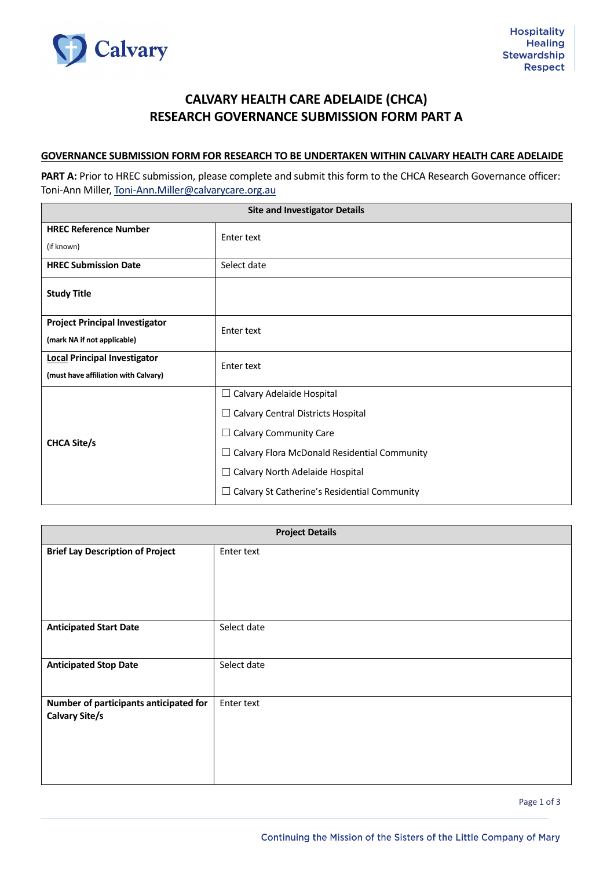

## **CALVARY HEALTH CARE ADELAIDE (CHCA) RESEARCH GOVERNANCE SUBMISSION FORM PART A**

## **GOVERNANCE SUBMISSION FORM FOR RESEARCH TO BE UNDERTAKEN WITHIN CALVARY HEALTH CARE ADELAIDE**

PART A: Prior to HREC submission, please complete and submit this form to the CHCA Research Governance officer: Toni-Ann Miller, [Toni-Ann.Miller@calvarycare.org.au](mailto:Toni-Ann.Miller@calvarycare.org.au)

| <b>Site and Investigator Details</b>  |                                                     |  |
|---------------------------------------|-----------------------------------------------------|--|
| <b>HREC Reference Number</b>          | Enter text                                          |  |
| (if known)                            |                                                     |  |
| <b>HREC Submission Date</b>           | Select date                                         |  |
| <b>Study Title</b>                    |                                                     |  |
| <b>Project Principal Investigator</b> | Enter text                                          |  |
| (mark NA if not applicable)           |                                                     |  |
| <b>Local Principal Investigator</b>   | Enter text                                          |  |
| (must have affiliation with Calvary)  |                                                     |  |
| <b>CHCA Site/s</b>                    | $\Box$ Calvary Adelaide Hospital                    |  |
|                                       | $\Box$ Calvary Central Districts Hospital           |  |
|                                       | $\Box$ Calvary Community Care                       |  |
|                                       | Calvary Flora McDonald Residential Community<br>ப   |  |
|                                       | $\Box$ Calvary North Adelaide Hospital              |  |
|                                       | $\Box$ Calvary St Catherine's Residential Community |  |

| <b>Project Details</b>                                          |             |  |
|-----------------------------------------------------------------|-------------|--|
| <b>Brief Lay Description of Project</b>                         | Enter text  |  |
| <b>Anticipated Start Date</b>                                   | Select date |  |
| <b>Anticipated Stop Date</b>                                    | Select date |  |
| Number of participants anticipated for<br><b>Calvary Site/s</b> | Enter text  |  |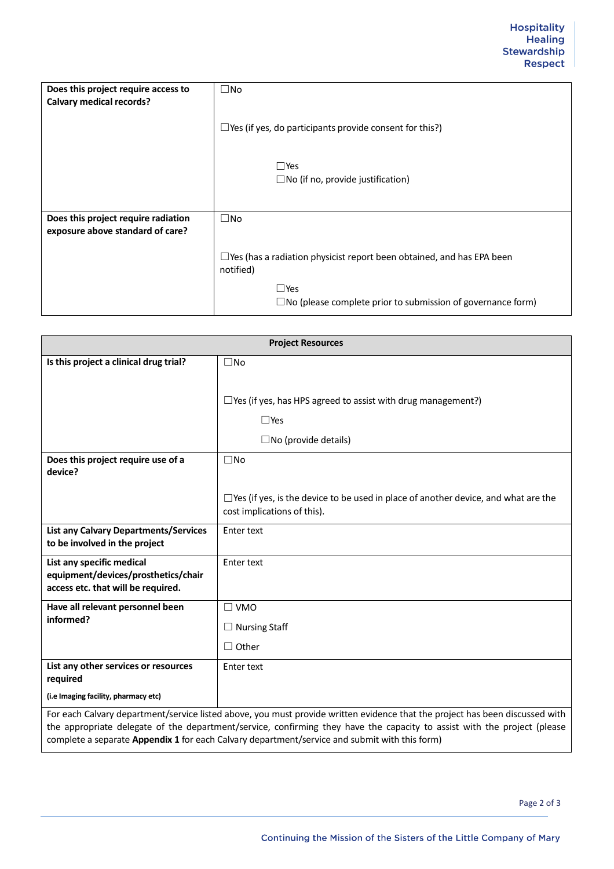| Does this project require access to<br><b>Calvary medical records?</b>  | $\square$ No                                                                              |
|-------------------------------------------------------------------------|-------------------------------------------------------------------------------------------|
|                                                                         | $\Box$ Yes (if yes, do participants provide consent for this?)                            |
|                                                                         | $\square$ Yes<br>$\Box$ No (if no, provide justification)                                 |
| Does this project require radiation<br>exposure above standard of care? | $\square$ No                                                                              |
|                                                                         | $\Box$ Yes (has a radiation physicist report been obtained, and has EPA been<br>notified) |
|                                                                         | $\square$ Yes<br>$\square$ No (please complete prior to submission of governance form)    |

| <b>Project Resources</b>                                                                                                                                                                                                                                |                                                                                                                          |
|---------------------------------------------------------------------------------------------------------------------------------------------------------------------------------------------------------------------------------------------------------|--------------------------------------------------------------------------------------------------------------------------|
| Is this project a clinical drug trial?                                                                                                                                                                                                                  | $\square$ No                                                                                                             |
|                                                                                                                                                                                                                                                         |                                                                                                                          |
|                                                                                                                                                                                                                                                         | $\Box$ Yes (if yes, has HPS agreed to assist with drug management?)                                                      |
|                                                                                                                                                                                                                                                         | $\Box$ Yes                                                                                                               |
|                                                                                                                                                                                                                                                         | $\square$ No (provide details)                                                                                           |
| Does this project require use of a                                                                                                                                                                                                                      | $\square$ No                                                                                                             |
| device?                                                                                                                                                                                                                                                 |                                                                                                                          |
|                                                                                                                                                                                                                                                         | $\Box$ Yes (if yes, is the device to be used in place of another device, and what are the<br>cost implications of this). |
| <b>List any Calvary Departments/Services</b>                                                                                                                                                                                                            | <b>Enter text</b>                                                                                                        |
| to be involved in the project                                                                                                                                                                                                                           |                                                                                                                          |
| List any specific medical<br>equipment/devices/prosthetics/chair                                                                                                                                                                                        | <b>Enter text</b>                                                                                                        |
| access etc. that will be required.                                                                                                                                                                                                                      |                                                                                                                          |
| Have all relevant personnel been                                                                                                                                                                                                                        | $\square$ VMO                                                                                                            |
| informed?                                                                                                                                                                                                                                               | $\Box$ Nursing Staff                                                                                                     |
|                                                                                                                                                                                                                                                         | $\Box$ Other                                                                                                             |
| List any other services or resources<br>required                                                                                                                                                                                                        | Enter text                                                                                                               |
| (i.e Imaging facility, pharmacy etc)                                                                                                                                                                                                                    |                                                                                                                          |
| For each Calvary department/service listed above, you must provide written evidence that the project has been discussed with<br>the annropriate delegate of the department/cervice confirming they have the capacity to assist with the project (please |                                                                                                                          |

the appropriate delegate of the department/service, confirming they have the capacity to assist with the project (please complete a separate **Appendix 1** for each Calvary department/service and submit with this form)